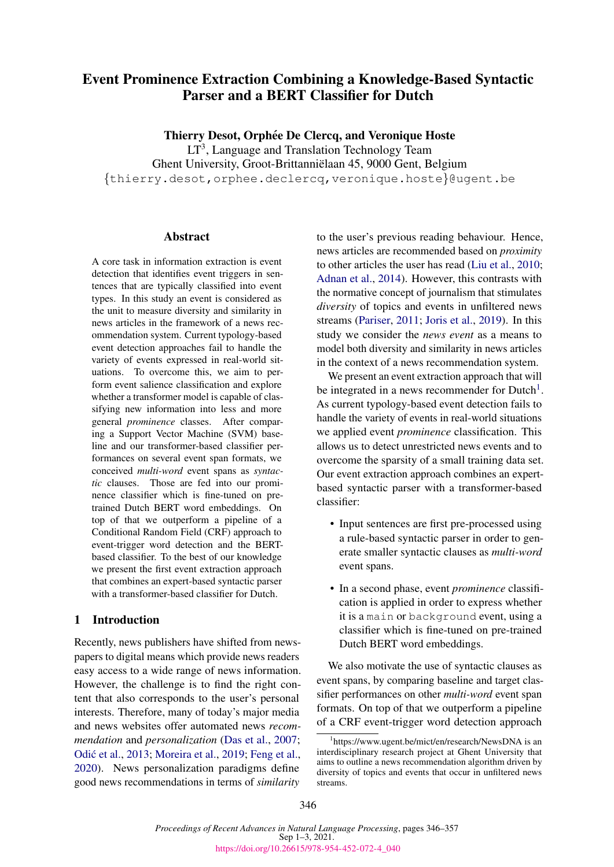# Event Prominence Extraction Combining a Knowledge-Based Syntactic Parser and a BERT Classifier for Dutch

Thierry Desot, Orphée De Clercq, and Veronique Hoste

LT<sup>3</sup>, Language and Translation Technology Team Ghent University, Groot-Brittannielaan 45, 9000 Gent, Belgium ¨ {thierry.desot,orphee.declercq,veronique.hoste}@ugent.be

## **Abstract**

A core task in information extraction is event detection that identifies event triggers in sentences that are typically classified into event types. In this study an event is considered as the unit to measure diversity and similarity in news articles in the framework of a news recommendation system. Current typology-based event detection approaches fail to handle the variety of events expressed in real-world situations. To overcome this, we aim to perform event salience classification and explore whether a transformer model is capable of classifying new information into less and more general *prominence* classes. After comparing a Support Vector Machine (SVM) baseline and our transformer-based classifier performances on several event span formats, we conceived *multi-word* event spans as *syntactic* clauses. Those are fed into our prominence classifier which is fine-tuned on pretrained Dutch BERT word embeddings. On top of that we outperform a pipeline of a Conditional Random Field (CRF) approach to event-trigger word detection and the BERTbased classifier. To the best of our knowledge we present the first event extraction approach that combines an expert-based syntactic parser with a transformer-based classifier for Dutch.

# 1 Introduction

Recently, news publishers have shifted from newspapers to digital means which provide news readers easy access to a wide range of news information. However, the challenge is to find the right content that also corresponds to the user's personal interests. Therefore, many of today's major media and news websites offer automated news *recommendation* and *personalization* [\(Das et al.,](#page-9-0) [2007;](#page-9-0) Odić et al., [2013;](#page-10-0) [Moreira et al.,](#page-10-1) [2019;](#page-10-1) [Feng et al.,](#page-9-1) [2020\)](#page-9-1). News personalization paradigms define good news recommendations in terms of *similarity*

to the user's previous reading behaviour. Hence, news articles are recommended based on *proximity* to other articles the user has read [\(Liu et al.,](#page-9-2) [2010;](#page-9-2) [Adnan et al.,](#page-8-0) [2014\)](#page-8-0). However, this contrasts with the normative concept of journalism that stimulates *diversity* of topics and events in unfiltered news streams [\(Pariser,](#page-10-2) [2011;](#page-10-2) [Joris et al.,](#page-9-3) [2019\)](#page-9-3). In this study we consider the *news event* as a means to model both diversity and similarity in news articles in the context of a news recommendation system.

We present an event extraction approach that will be integrated in a news recommender for  $Dutch<sup>1</sup>$  $Dutch<sup>1</sup>$  $Dutch<sup>1</sup>$ . As current typology-based event detection fails to handle the variety of events in real-world situations we applied event *prominence* classification. This allows us to detect unrestricted news events and to overcome the sparsity of a small training data set. Our event extraction approach combines an expertbased syntactic parser with a transformer-based classifier:

- Input sentences are first pre-processed using a rule-based syntactic parser in order to generate smaller syntactic clauses as *multi-word* event spans.
- In a second phase, event *prominence* classification is applied in order to express whether it is a main or background event, using a classifier which is fine-tuned on pre-trained Dutch BERT word embeddings.

We also motivate the use of syntactic clauses as event spans, by comparing baseline and target classifier performances on other *multi-word* event span formats. On top of that we outperform a pipeline of a CRF event-trigger word detection approach

<span id="page-0-0"></span><sup>1</sup> https://www.ugent.be/mict/en/research/NewsDNA is an interdisciplinary research project at Ghent University that aims to outline a news recommendation algorithm driven by diversity of topics and events that occur in unfiltered news streams.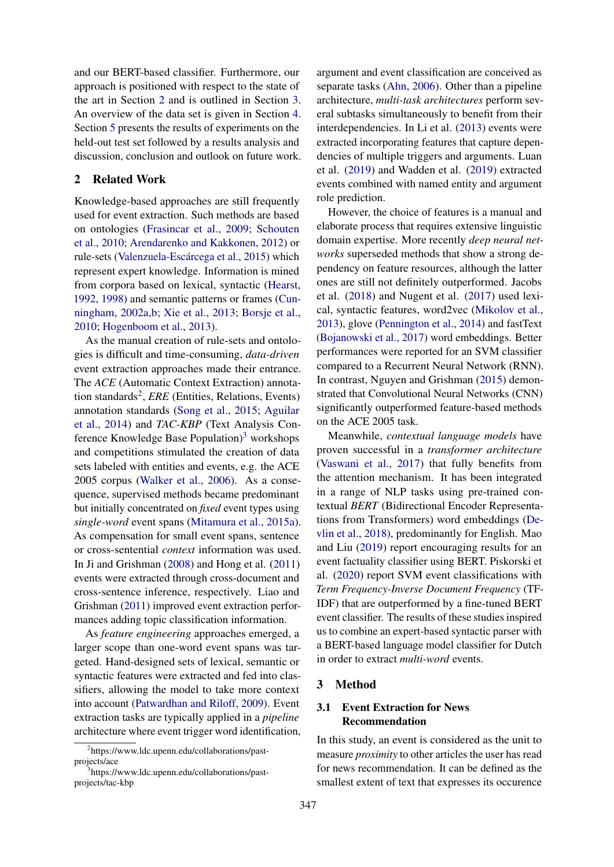and our BERT-based classifier. Furthermore, our approach is positioned with respect to the state of the art in Section [2](#page-1-0) and is outlined in Section [3.](#page-1-1) An overview of the data set is given in Section [4.](#page-4-0) Section [5](#page-5-0) presents the results of experiments on the held-out test set followed by a results analysis and discussion, conclusion and outlook on future work.

## <span id="page-1-0"></span>2 Related Work

Knowledge-based approaches are still frequently used for event extraction. Such methods are based on ontologies [\(Frasincar et al.,](#page-9-4) [2009;](#page-9-4) [Schouten](#page-10-3) [et al.,](#page-10-3) [2010;](#page-10-3) [Arendarenko and Kakkonen,](#page-8-1) [2012\)](#page-8-1) or rule-sets (Valenzuela-Escárcega et al., [2015\)](#page-10-4) which represent expert knowledge. Information is mined from corpora based on lexical, syntactic [\(Hearst,](#page-9-5) [1992,](#page-9-5) [1998\)](#page-9-6) and semantic patterns or frames [\(Cun](#page-9-7)[ningham,](#page-9-7) [2002a](#page-9-7)[,b;](#page-9-8) [Xie et al.,](#page-11-0) [2013;](#page-11-0) [Borsje et al.,](#page-8-2) [2010;](#page-8-2) [Hogenboom et al.,](#page-9-9) [2013\)](#page-9-9).

As the manual creation of rule-sets and ontologies is difficult and time-consuming, *data-driven* event extraction approaches made their entrance. The *ACE* (Automatic Context Extraction) annota-tion standards<sup>[2](#page-1-2)</sup>, *ERE* (Entities, Relations, Events) annotation standards [\(Song et al.,](#page-10-5) [2015;](#page-10-5) [Aguilar](#page-8-3) [et al.,](#page-8-3) [2014\)](#page-8-3) and *TAC-KBP* (Text Analysis Con-ference Knowledge Base Population)<sup>[3](#page-1-3)</sup> workshops and competitions stimulated the creation of data sets labeled with entities and events, e.g. the ACE 2005 corpus [\(Walker et al.,](#page-11-1) [2006\)](#page-11-1). As a consequence, supervised methods became predominant but initially concentrated on *fixed* event types using *single-word* event spans [\(Mitamura et al.,](#page-10-6) [2015a\)](#page-10-6). As compensation for small event spans, sentence or cross-sentential *context* information was used. In Ji and Grishman [\(2008\)](#page-9-10) and Hong et al. [\(2011\)](#page-9-11) events were extracted through cross-document and cross-sentence inference, respectively. Liao and Grishman [\(2011\)](#page-9-12) improved event extraction performances adding topic classification information.

As *feature engineering* approaches emerged, a larger scope than one-word event spans was targeted. Hand-designed sets of lexical, semantic or syntactic features were extracted and fed into classifiers, allowing the model to take more context into account [\(Patwardhan and Riloff,](#page-10-7) [2009\)](#page-10-7). Event extraction tasks are typically applied in a *pipeline* architecture where event trigger word identification,

argument and event classification are conceived as separate tasks [\(Ahn,](#page-8-4) [2006\)](#page-8-4). Other than a pipeline architecture, *multi-task architectures* perform several subtasks simultaneously to benefit from their interdependencies. In Li et al. [\(2013\)](#page-9-13) events were extracted incorporating features that capture dependencies of multiple triggers and arguments. Luan et al. [\(2019\)](#page-9-14) and Wadden et al. [\(2019\)](#page-11-2) extracted events combined with named entity and argument role prediction.

However, the choice of features is a manual and elaborate process that requires extensive linguistic domain expertise. More recently *deep neural networks* superseded methods that show a strong dependency on feature resources, although the latter ones are still not definitely outperformed. Jacobs et al. [\(2018\)](#page-9-15) and Nugent et al. [\(2017\)](#page-10-8) used lexical, syntactic features, word2vec [\(Mikolov et al.,](#page-9-16) [2013\)](#page-9-16), glove [\(Pennington et al.,](#page-10-9) [2014\)](#page-10-9) and fastText [\(Bojanowski et al.,](#page-8-5) [2017\)](#page-8-5) word embeddings. Better performances were reported for an SVM classifier compared to a Recurrent Neural Network (RNN). In contrast, Nguyen and Grishman [\(2015\)](#page-10-10) demonstrated that Convolutional Neural Networks (CNN) significantly outperformed feature-based methods on the ACE 2005 task.

Meanwhile, *contextual language models* have proven successful in a *transformer architecture* [\(Vaswani et al.,](#page-10-11) [2017\)](#page-10-11) that fully benefits from the attention mechanism. It has been integrated in a range of NLP tasks using pre-trained contextual *BERT* (Bidirectional Encoder Representations from Transformers) word embeddings [\(De](#page-9-17)[vlin et al.,](#page-9-17) [2018\)](#page-9-17), predominantly for English. Mao and Liu [\(2019\)](#page-9-18) report encouraging results for an event factuality classifier using BERT. Piskorski et al. [\(2020\)](#page-10-12) report SVM event classifications with *Term Frequency-Inverse Document Frequency* (TF-IDF) that are outperformed by a fine-tuned BERT event classifier. The results of these studies inspired us to combine an expert-based syntactic parser with a BERT-based language model classifier for Dutch in order to extract *multi-word* events.

## <span id="page-1-1"></span>3 Method

# <span id="page-1-4"></span>3.1 Event Extraction for News Recommendation

In this study, an event is considered as the unit to measure *proximity* to other articles the user has read for news recommendation. It can be defined as the smallest extent of text that expresses its occurence

<span id="page-1-2"></span><sup>2</sup> https://www.ldc.upenn.edu/collaborations/pastprojects/ace

<span id="page-1-3"></span><sup>3</sup> https://www.ldc.upenn.edu/collaborations/pastprojects/tac-kbp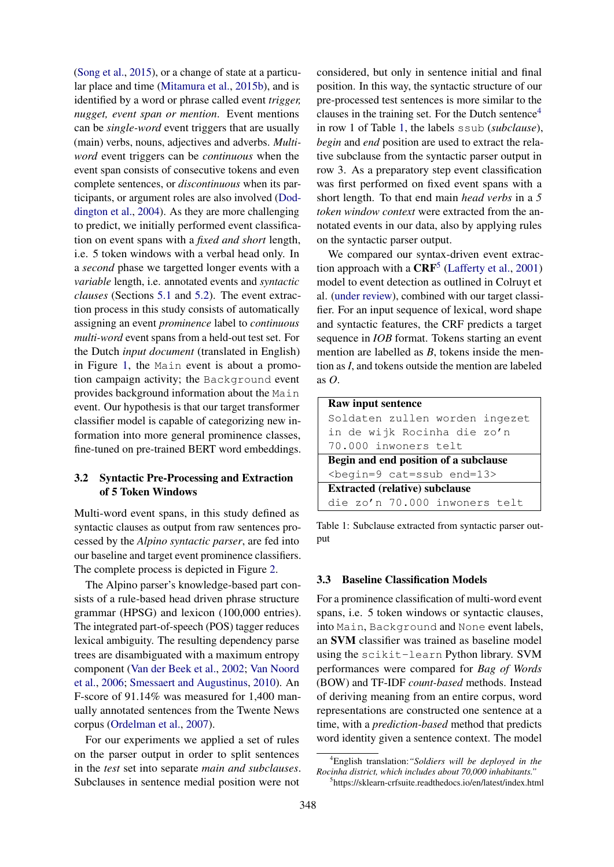[\(Song et al.,](#page-10-5) [2015\)](#page-10-5), or a change of state at a particular place and time [\(Mitamura et al.,](#page-10-13) [2015b\)](#page-10-13), and is identified by a word or phrase called event *trigger, nugget, event span or mention*. Event mentions can be *single-word* event triggers that are usually (main) verbs, nouns, adjectives and adverbs. *Multiword* event triggers can be *continuous* when the event span consists of consecutive tokens and even complete sentences, or *discontinuous* when its participants, or argument roles are also involved [\(Dod](#page-9-19)[dington et al.,](#page-9-19) [2004\)](#page-9-19). As they are more challenging to predict, we initially performed event classification on event spans with a *fixed and short* length, i.e. 5 token windows with a verbal head only. In a *second* phase we targetted longer events with a *variable* length, i.e. annotated events and *syntactic clauses* (Sections [5.1](#page-5-1) and [5.2\)](#page-5-2). The event extraction process in this study consists of automatically assigning an event *prominence* label to *continuous multi-word* event spans from a held-out test set. For the Dutch *input document* (translated in English) in Figure [1,](#page-3-0) the Main event is about a promotion campaign activity; the Background event provides background information about the Main event. Our hypothesis is that our target transformer classifier model is capable of categorizing new information into more general prominence classes, fine-tuned on pre-trained BERT word embeddings.

# <span id="page-2-4"></span>3.2 Syntactic Pre-Processing and Extraction of 5 Token Windows

Multi-word event spans, in this study defined as syntactic clauses as output from raw sentences processed by the *Alpino syntactic parser*, are fed into our baseline and target event prominence classifiers. The complete process is depicted in Figure [2.](#page-3-1)

The Alpino parser's knowledge-based part consists of a rule-based head driven phrase structure grammar (HPSG) and lexicon (100,000 entries). The integrated part-of-speech (POS) tagger reduces lexical ambiguity. The resulting dependency parse trees are disambiguated with a maximum entropy component [\(Van der Beek et al.,](#page-8-6) [2002;](#page-8-6) [Van Noord](#page-10-14) [et al.,](#page-10-14) [2006;](#page-10-14) [Smessaert and Augustinus,](#page-10-15) [2010\)](#page-10-15). An F-score of 91.14% was measured for 1,400 manually annotated sentences from the Twente News corpus [\(Ordelman et al.,](#page-10-16) [2007\)](#page-10-16).

For our experiments we applied a set of rules on the parser output in order to split sentences in the *test* set into separate *main and subclauses*. Subclauses in sentence medial position were not

considered, but only in sentence initial and final position. In this way, the syntactic structure of our pre-processed test sentences is more similar to the clauses in the training set. For the Dutch sentence<sup>[4](#page-2-0)</sup> in row 1 of Table [1,](#page-2-1) the labels ssub (*subclause*), *begin* and *end* position are used to extract the relative subclause from the syntactic parser output in row 3. As a preparatory step event classification was first performed on fixed event spans with a short length. To that end main *head verbs* in a *5 token window context* were extracted from the annotated events in our data, also by applying rules on the syntactic parser output.

We compared our syntax-driven event extraction approach with a  $CRF<sup>5</sup>$  $CRF<sup>5</sup>$  $CRF<sup>5</sup>$  [\(Lafferty et al.,](#page-9-20) [2001\)](#page-9-20) model to event detection as outlined in Colruyt et al. [\(under review\)](#page-8-7), combined with our target classifier. For an input sequence of lexical, word shape and syntactic features, the CRF predicts a target sequence in *IOB* format. Tokens starting an event mention are labelled as *B*, tokens inside the mention as *I*, and tokens outside the mention are labeled as *O*.

<span id="page-2-1"></span>

| Raw input sentence                      |
|-----------------------------------------|
| Soldaten zullen worden ingezet          |
| in de wijk Rocinha die zo'n             |
| 70.000 inwoners telt                    |
| Begin and end position of a subclause   |
| <begin=9 cat="ssub" end="13"></begin=9> |
| <b>Extracted (relative) subclause</b>   |
| die zo'n 70.000 inwoners telt           |

Table 1: Subclause extracted from syntactic parser output

## <span id="page-2-3"></span>3.3 Baseline Classification Models

For a prominence classification of multi-word event spans, i.e. 5 token windows or syntactic clauses, into Main, Background and None event labels, an SVM classifier was trained as baseline model using the scikit-learn Python library. SVM performances were compared for *Bag of Words* (BOW) and TF-IDF *count-based* methods. Instead of deriving meaning from an entire corpus, word representations are constructed one sentence at a time, with a *prediction-based* method that predicts word identity given a sentence context. The model

<span id="page-2-0"></span><sup>4</sup>English translation:*"Soldiers will be deployed in the Rocinha district, which includes about 70,000 inhabitants."*

<span id="page-2-2"></span><sup>5</sup> https://sklearn-crfsuite.readthedocs.io/en/latest/index.html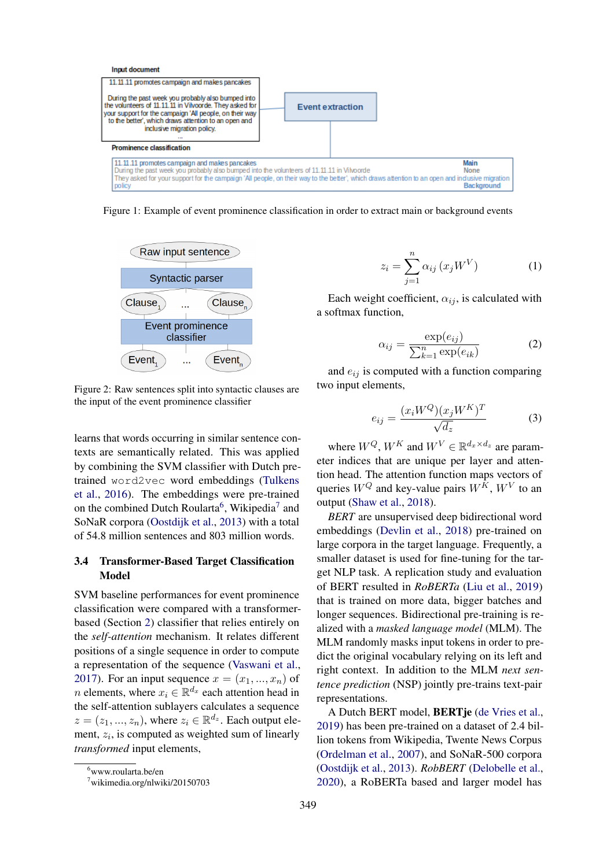<span id="page-3-0"></span>

<span id="page-3-1"></span>Figure 1: Example of event prominence classification in order to extract main or background events



Figure 2: Raw sentences split into syntactic clauses are the input of the event prominence classifier

learns that words occurring in similar sentence contexts are semantically related. This was applied by combining the SVM classifier with Dutch pretrained word2vec word embeddings [\(Tulkens](#page-10-17) [et al.,](#page-10-17) [2016\)](#page-10-17). The embeddings were pre-trained on the combined Dutch Roularta<sup>[6](#page-3-2)</sup>, Wikipedia<sup>[7](#page-3-3)</sup> and SoNaR corpora [\(Oostdijk et al.,](#page-10-18) [2013\)](#page-10-18) with a total of 54.8 million sentences and 803 million words.

# <span id="page-3-4"></span>3.4 Transformer-Based Target Classification Model

SVM baseline performances for event prominence classification were compared with a transformerbased (Section [2\)](#page-1-0) classifier that relies entirely on the *self-attention* mechanism. It relates different positions of a single sequence in order to compute a representation of the sequence [\(Vaswani et al.,](#page-10-11) [2017\)](#page-10-11). For an input sequence  $x = (x_1, ..., x_n)$  of *n* elements, where  $x_i \in \mathbb{R}^{d_x}$  each attention head in the self-attention sublayers calculates a sequence  $z = (z_1, ..., z_n)$ , where  $z_i \in \mathbb{R}^{d_z}$ . Each output element,  $z_i$ , is computed as weighted sum of linearly *transformed* input elements,

$$
z_i = \sum_{j=1}^{n} \alpha_{ij} (x_j W^V) \tag{1}
$$

Each weight coefficient,  $\alpha_{ij}$ , is calculated with a softmax function,

$$
\alpha_{ij} = \frac{\exp(e_{ij})}{\sum_{k=1}^{n} \exp(e_{ik})}
$$
 (2)

and  $e_{ij}$  is computed with a function comparing two input elements,

$$
e_{ij} = \frac{(x_i W^Q)(x_j W^K)^T}{\sqrt{d_z}} \tag{3}
$$

where  $W^Q$ ,  $W^K$  and  $W^V \in \mathbb{R}^{d_x \times d_z}$  are parameter indices that are unique per layer and attention head. The attention function maps vectors of queries  $W^Q$  and key-value pairs  $W^K$ ,  $W^V$  to an output [\(Shaw et al.,](#page-10-19) [2018\)](#page-10-19).

*BERT* are unsupervised deep bidirectional word embeddings [\(Devlin et al.,](#page-9-17) [2018\)](#page-9-17) pre-trained on large corpora in the target language. Frequently, a smaller dataset is used for fine-tuning for the target NLP task. A replication study and evaluation of BERT resulted in *RoBERTa* [\(Liu et al.,](#page-9-21) [2019\)](#page-9-21) that is trained on more data, bigger batches and longer sequences. Bidirectional pre-training is realized with a *masked language model* (MLM). The MLM randomly masks input tokens in order to predict the original vocabulary relying on its left and right context. In addition to the MLM *next sentence prediction* (NSP) jointly pre-trains text-pair representations.

A Dutch BERT model, BERTje [\(de Vries et al.,](#page-11-3) [2019\)](#page-11-3) has been pre-trained on a dataset of 2.4 billion tokens from Wikipedia, Twente News Corpus [\(Ordelman et al.,](#page-10-16) [2007\)](#page-10-16), and SoNaR-500 corpora [\(Oostdijk et al.,](#page-10-18) [2013\)](#page-10-18). *RobBERT* [\(Delobelle et al.,](#page-9-22) [2020\)](#page-9-22), a RoBERTa based and larger model has

<span id="page-3-2"></span><sup>6</sup>www.roularta.be/en

<span id="page-3-3"></span><sup>7</sup>wikimedia.org/nlwiki/20150703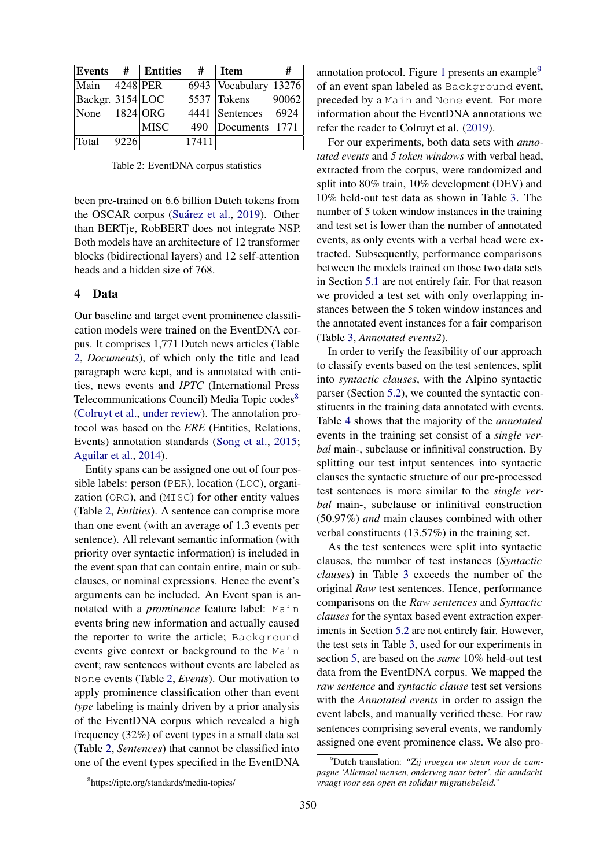<span id="page-4-1"></span>

|                        |      | $\mathbf{E}$ vents # $\mathbf{E}$ ntities | #     | <b>Item</b>             | #     |
|------------------------|------|-------------------------------------------|-------|-------------------------|-------|
| $\text{Main}$ 4248 PER |      |                                           |       | 6943   Vocabulary 13276 |       |
| Backgr. 3154 LOC       |      |                                           |       | $5537$ Tokens           | 90062 |
| None $1824$ ORG        |      |                                           |       | 4441 Sentences 6924     |       |
|                        |      | <b>MISC</b>                               | 490   | Documents 1771          |       |
| Total                  | 9226 |                                           | 17411 |                         |       |

Table 2: EventDNA corpus statistics

been pre-trained on 6.6 billion Dutch tokens from the OSCAR corpus (Suárez et al., [2019\)](#page-10-20). Other than BERTje, RobBERT does not integrate NSP. Both models have an architecture of 12 transformer blocks (bidirectional layers) and 12 self-attention heads and a hidden size of 768.

## <span id="page-4-0"></span>4 Data

Our baseline and target event prominence classification models were trained on the EventDNA corpus. It comprises 1,771 Dutch news articles (Table [2,](#page-4-1) *Documents*), of which only the title and lead paragraph were kept, and is annotated with entities, news events and *IPTC* (International Press Telecommunications Council) Media Topic codes<sup>[8](#page-4-2)</sup> [\(Colruyt et al.,](#page-8-7) [under review\)](#page-8-7). The annotation protocol was based on the *ERE* (Entities, Relations, Events) annotation standards [\(Song et al.,](#page-10-5) [2015;](#page-10-5) [Aguilar et al.,](#page-8-3) [2014\)](#page-8-3).

Entity spans can be assigned one out of four possible labels: person (PER), location (LOC), organization (ORG), and (MISC) for other entity values (Table [2,](#page-4-1) *Entities*). A sentence can comprise more than one event (with an average of 1.3 events per sentence). All relevant semantic information (with priority over syntactic information) is included in the event span that can contain entire, main or subclauses, or nominal expressions. Hence the event's arguments can be included. An Event span is annotated with a *prominence* feature label: Main events bring new information and actually caused the reporter to write the article; Background events give context or background to the Main event; raw sentences without events are labeled as None events (Table [2,](#page-4-1) *Events*). Our motivation to apply prominence classification other than event *type* labeling is mainly driven by a prior analysis of the EventDNA corpus which revealed a high frequency (32%) of event types in a small data set (Table [2,](#page-4-1) *Sentences*) that cannot be classified into one of the event types specified in the EventDNA

annotation protocol. Figure [1](#page-3-0) presents an example $9$ of an event span labeled as Background event, preceded by a Main and None event. For more information about the EventDNA annotations we refer the reader to Colruyt et al. [\(2019\)](#page-8-8).

For our experiments, both data sets with *annotated events* and *5 token windows* with verbal head, extracted from the corpus, were randomized and split into 80% train, 10% development (DEV) and 10% held-out test data as shown in Table [3.](#page-5-3) The number of 5 token window instances in the training and test set is lower than the number of annotated events, as only events with a verbal head were extracted. Subsequently, performance comparisons between the models trained on those two data sets in Section [5.1](#page-5-1) are not entirely fair. For that reason we provided a test set with only overlapping instances between the 5 token window instances and the annotated event instances for a fair comparison (Table [3,](#page-5-3) *Annotated events2*).

In order to verify the feasibility of our approach to classify events based on the test sentences, split into *syntactic clauses*, with the Alpino syntactic parser (Section [5.2\)](#page-5-2), we counted the syntactic constituents in the training data annotated with events. Table [4](#page-5-4) shows that the majority of the *annotated* events in the training set consist of a *single verbal* main-, subclause or infinitival construction. By splitting our test intput sentences into syntactic clauses the syntactic structure of our pre-processed test sentences is more similar to the *single verbal* main-, subclause or infinitival construction (50.97%) *and* main clauses combined with other verbal constituents (13.57%) in the training set.

As the test sentences were split into syntactic clauses, the number of test instances (*Syntactic clauses*) in Table [3](#page-5-3) exceeds the number of the original *Raw* test sentences. Hence, performance comparisons on the *Raw sentences* and *Syntactic clauses* for the syntax based event extraction experiments in Section [5.2](#page-5-2) are not entirely fair. However, the test sets in Table [3,](#page-5-3) used for our experiments in section [5,](#page-5-0) are based on the *same* 10% held-out test data from the EventDNA corpus. We mapped the *raw sentence* and *syntactic clause* test set versions with the *Annotated events* in order to assign the event labels, and manually verified these. For raw sentences comprising several events, we randomly assigned one event prominence class. We also pro-

<span id="page-4-3"></span><sup>9</sup>Dutch translation: *"Zij vroegen uw steun voor de campagne 'Allemaal mensen, onderweg naar beter', die aandacht vraagt voor een open en solidair migratiebeleid."*

<span id="page-4-2"></span><sup>8</sup> https://iptc.org/standards/media-topics/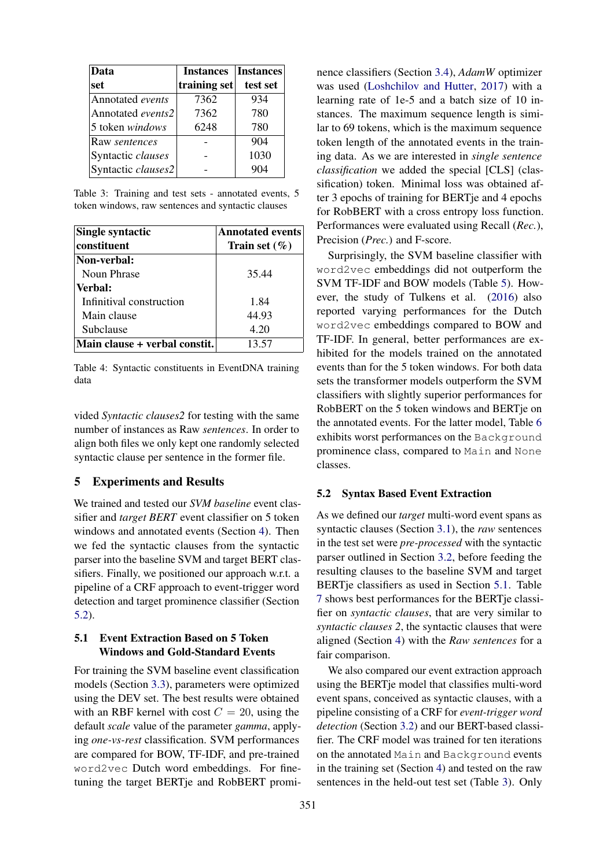<span id="page-5-3"></span>

| Data               | <b>Instances</b> | <b>Instances</b> |
|--------------------|------------------|------------------|
| set                | training set     | test set         |
| Annotated events   | 7362             | 934              |
| Annotated events2  | 7362             | 780              |
| 5 token windows    | 6248             | 780              |
| Raw sentences      |                  | 904              |
| Syntactic clauses  |                  | 1030             |
| Syntactic clauses2 |                  | 904              |

Table 3: Training and test sets - annotated events, 5 token windows, raw sentences and syntactic clauses

<span id="page-5-4"></span>

| Single syntactic              | <b>Annotated events</b> |  |  |
|-------------------------------|-------------------------|--|--|
| constituent                   | Train set $(\% )$       |  |  |
| Non-verbal:                   |                         |  |  |
| Noun Phrase                   | 35.44                   |  |  |
| Verbal:                       |                         |  |  |
| Infinitival construction      | 1.84                    |  |  |
| Main clause                   | 44.93                   |  |  |
| Subclause                     | 4.20                    |  |  |
| Main clause + verbal constit. | 13.57                   |  |  |

Table 4: Syntactic constituents in EventDNA training data

vided *Syntactic clauses2* for testing with the same number of instances as Raw *sentences*. In order to align both files we only kept one randomly selected syntactic clause per sentence in the former file.

## <span id="page-5-0"></span>5 Experiments and Results

We trained and tested our *SVM baseline* event classifier and *target BERT* event classifier on 5 token windows and annotated events (Section [4\)](#page-4-0). Then we fed the syntactic clauses from the syntactic parser into the baseline SVM and target BERT classifiers. Finally, we positioned our approach w.r.t. a pipeline of a CRF approach to event-trigger word detection and target prominence classifier (Section [5.2\)](#page-5-2).

# <span id="page-5-1"></span>5.1 Event Extraction Based on 5 Token Windows and Gold-Standard Events

For training the SVM baseline event classification models (Section [3.3\)](#page-2-3), parameters were optimized using the DEV set. The best results were obtained with an RBF kernel with cost  $C = 20$ , using the default *scale* value of the parameter *gamma*, applying *one-vs-rest* classification. SVM performances are compared for BOW, TF-IDF, and pre-trained word2vec Dutch word embeddings. For finetuning the target BERTje and RobBERT promi-

nence classifiers (Section [3.4\)](#page-3-4), *AdamW* optimizer was used [\(Loshchilov and Hutter,](#page-9-23) [2017\)](#page-9-23) with a learning rate of 1e-5 and a batch size of 10 instances. The maximum sequence length is similar to 69 tokens, which is the maximum sequence token length of the annotated events in the training data. As we are interested in *single sentence classification* we added the special [CLS] (classification) token. Minimal loss was obtained after 3 epochs of training for BERTje and 4 epochs for RobBERT with a cross entropy loss function. Performances were evaluated using Recall (*Rec.*), Precision (*Prec.*) and F-score.

Surprisingly, the SVM baseline classifier with word2vec embeddings did not outperform the SVM TF-IDF and BOW models (Table [5\)](#page-6-0). However, the study of Tulkens et al. [\(2016\)](#page-10-17) also reported varying performances for the Dutch word2vec embeddings compared to BOW and TF-IDF. In general, better performances are exhibited for the models trained on the annotated events than for the 5 token windows. For both data sets the transformer models outperform the SVM classifiers with slightly superior performances for RobBERT on the 5 token windows and BERTje on the annotated events. For the latter model, Table [6](#page-6-1) exhibits worst performances on the Background prominence class, compared to Main and None classes.

#### <span id="page-5-2"></span>5.2 Syntax Based Event Extraction

As we defined our *target* multi-word event spans as syntactic clauses (Section [3.1\)](#page-1-4), the *raw* sentences in the test set were *pre-processed* with the syntactic parser outlined in Section [3.2,](#page-2-4) before feeding the resulting clauses to the baseline SVM and target BERTje classifiers as used in Section [5.1.](#page-5-1) Table [7](#page-7-0) shows best performances for the BERTje classifier on *syntactic clauses*, that are very similar to *syntactic clauses 2*, the syntactic clauses that were aligned (Section [4\)](#page-4-0) with the *Raw sentences* for a fair comparison.

We also compared our event extraction approach using the BERTje model that classifies multi-word event spans, conceived as syntactic clauses, with a pipeline consisting of a CRF for *event-trigger word detection* (Section [3.2\)](#page-2-4) and our BERT-based classifier. The CRF model was trained for ten iterations on the annotated Main and Background events in the training set (Section [4\)](#page-4-0) and tested on the raw sentences in the held-out test set (Table [3\)](#page-5-3). Only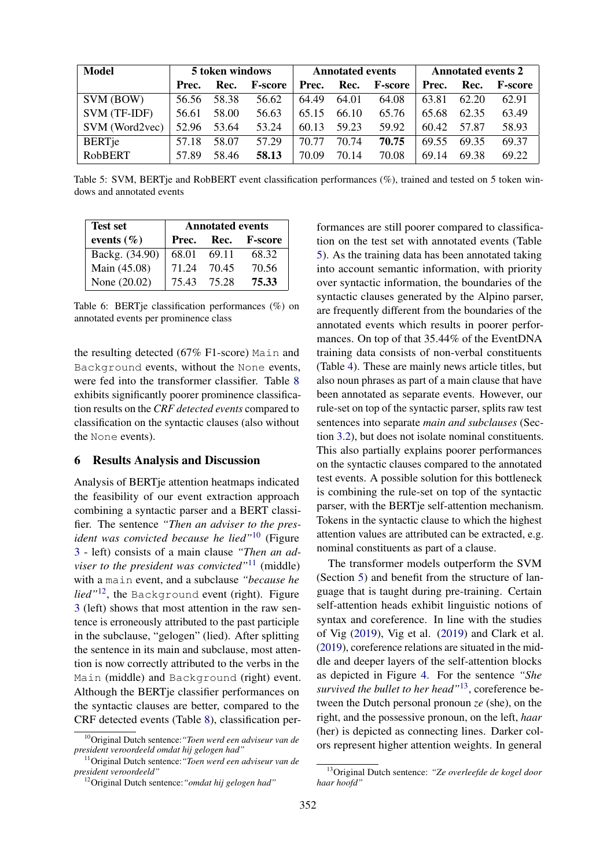<span id="page-6-0"></span>

| <b>Model</b>   | 5 token windows |       |                | <b>Annotated events</b> |       |                | <b>Annotated events 2</b> |       |                |
|----------------|-----------------|-------|----------------|-------------------------|-------|----------------|---------------------------|-------|----------------|
|                | Prec.           | Rec.  | <b>F-score</b> | Prec.                   | Rec.  | <b>F-score</b> | Prec.                     | Rec.  | <b>F-score</b> |
| SVM (BOW)      | 56.56           | 58.38 | 56.62          | 64.49                   | 64.01 | 64.08          | 63.81                     | 62.20 | 62.91          |
| SVM (TF-IDF)   | 56.61           | 58.00 | 56.63          | 65.15                   | 66.10 | 65.76          | 65.68                     | 62.35 | 63.49          |
| SVM (Word2vec) | 52.96           | 53.64 | 53.24          | 60.13                   | 59.23 | 59.92          | 60.42                     | 57.87 | 58.93          |
| <b>BERTje</b>  | 57.18           | 58.07 | 57.29          | 70.77                   | 70.74 | 70.75          | 69.55                     | 69.35 | 69.37          |
| RobBERT        | 57.89           | 58.46 | 58.13          | 70.09                   | 70.14 | 70.08          | 69.14                     | 69.38 | 69.22          |

Table 5: SVM, BERTje and RobBERT event classification performances (%), trained and tested on 5 token windows and annotated events

<span id="page-6-1"></span>

| <b>Test set</b> | <b>Annotated events</b> |       |                |  |  |  |
|-----------------|-------------------------|-------|----------------|--|--|--|
| events $(\% )$  | Prec.                   | Rec.  | <b>F-score</b> |  |  |  |
| Backg. (34.90)  | 68.01                   | 69.11 | 68.32          |  |  |  |
| Main (45.08)    | 71.24                   | 70.45 | 70.56          |  |  |  |
| None (20.02)    | 75.43                   | 75.28 | 75.33          |  |  |  |

Table 6: BERTje classification performances (%) on annotated events per prominence class

the resulting detected (67% F1-score) Main and Background events, without the None events, were fed into the transformer classifier. Table [8](#page-7-1) exhibits significantly poorer prominence classification results on the *CRF detected events* compared to classification on the syntactic clauses (also without the None events).

## 6 Results Analysis and Discussion

Analysis of BERTje attention heatmaps indicated the feasibility of our event extraction approach combining a syntactic parser and a BERT classifier. The sentence *"Then an adviser to the president was convicted because he lied"*[10](#page-6-2) (Figure [3](#page-7-2) - left) consists of a main clause *"Then an adviser to the president was convicted"*[11](#page-6-3) (middle) with a main event, and a subclause *"because he lied"*[12](#page-6-4), the Background event (right). Figure [3](#page-7-2) (left) shows that most attention in the raw sentence is erroneously attributed to the past participle in the subclause, "gelogen" (lied). After splitting the sentence in its main and subclause, most attention is now correctly attributed to the verbs in the Main (middle) and Background (right) event. Although the BERTje classifier performances on the syntactic clauses are better, compared to the CRF detected events (Table [8\)](#page-7-1), classification per-

formances are still poorer compared to classification on the test set with annotated events (Table [5\)](#page-6-0). As the training data has been annotated taking into account semantic information, with priority over syntactic information, the boundaries of the syntactic clauses generated by the Alpino parser, are frequently different from the boundaries of the annotated events which results in poorer performances. On top of that 35.44% of the EventDNA training data consists of non-verbal constituents (Table [4\)](#page-5-4). These are mainly news article titles, but also noun phrases as part of a main clause that have been annotated as separate events. However, our rule-set on top of the syntactic parser, splits raw test sentences into separate *main and subclauses* (Section [3.2\)](#page-2-4), but does not isolate nominal constituents. This also partially explains poorer performances on the syntactic clauses compared to the annotated test events. A possible solution for this bottleneck is combining the rule-set on top of the syntactic parser, with the BERTje self-attention mechanism. Tokens in the syntactic clause to which the highest attention values are attributed can be extracted, e.g. nominal constituents as part of a clause.

The transformer models outperform the SVM (Section [5\)](#page-5-0) and benefit from the structure of language that is taught during pre-training. Certain self-attention heads exhibit linguistic notions of syntax and coreference. In line with the studies of Vig [\(2019\)](#page-10-21), Vig et al. [\(2019\)](#page-10-22) and Clark et al. [\(2019\)](#page-8-9), coreference relations are situated in the middle and deeper layers of the self-attention blocks as depicted in Figure [4.](#page-7-3) For the sentence *"She survived the bullet to her head"*[13](#page-6-5), coreference between the Dutch personal pronoun *ze* (she), on the right, and the possessive pronoun, on the left, *haar* (her) is depicted as connecting lines. Darker colors represent higher attention weights. In general

<span id="page-6-2"></span><sup>10</sup>Original Dutch sentence:*"Toen werd een adviseur van de president veroordeeld omdat hij gelogen had"*

<span id="page-6-3"></span><sup>11</sup>Original Dutch sentence:*"Toen werd een adviseur van de president veroordeeld"*

<span id="page-6-4"></span><sup>12</sup>Original Dutch sentence:*"omdat hij gelogen had"*

<span id="page-6-5"></span><sup>13</sup>Original Dutch sentence: *"Ze overleefde de kogel door haar hoofd"*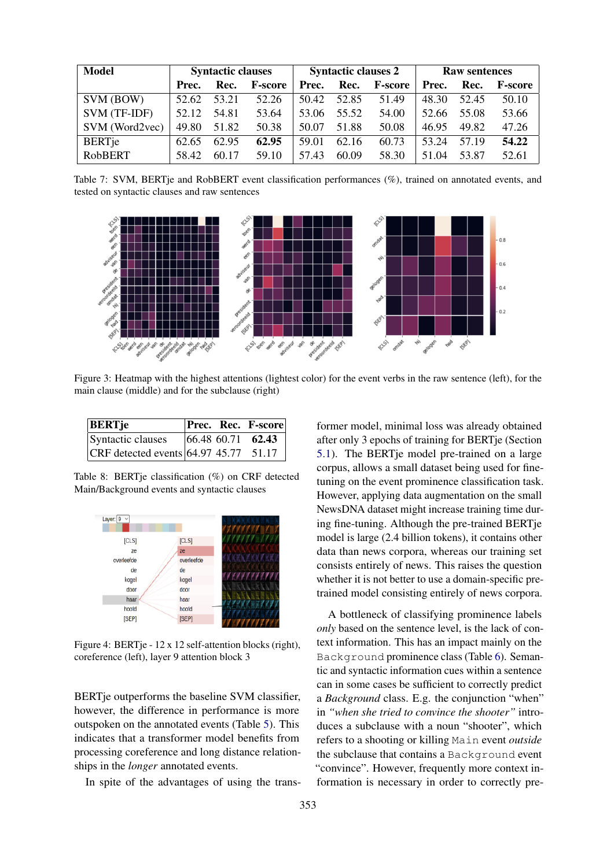<span id="page-7-0"></span>

| <b>Model</b>   | <b>Syntactic clauses</b> |       |                | <b>Syntactic clauses 2</b> |       |                | <b>Raw sentences</b> |       |                |
|----------------|--------------------------|-------|----------------|----------------------------|-------|----------------|----------------------|-------|----------------|
|                | Prec.                    | Rec.  | <b>F-score</b> | Prec.                      | Rec.  | <b>F-score</b> | Prec.                | Rec.  | <b>F-score</b> |
| SVM (BOW)      | 52.62                    | 53.21 | 52.26          | 50.42                      | 52.85 | 51.49          | 48.30                | 52.45 | 50.10          |
| SVM (TF-IDF)   | 52.12                    | 54.81 | 53.64          | 53.06                      | 55.52 | 54.00          | 52.66                | 55.08 | 53.66          |
| SVM (Word2vec) | 49.80                    | 51.82 | 50.38          | 50.07                      | 51.88 | 50.08          | 46.95                | 49.82 | 47.26          |
| <b>BERTje</b>  | 62.65                    | 62.95 | 62.95          | 59.01                      | 62.16 | 60.73          | 53.24                | 57.19 | 54.22          |
| RobBERT        | 58.42                    | 60.17 | 59.10          | 57.43                      | 60.09 | 58.30          | 51.04                | 53.87 | 52.61          |

Table 7: SVM, BERTje and RobBERT event classification performances (%), trained on annotated events, and tested on syntactic clauses and raw sentences

<span id="page-7-2"></span>

Figure 3: Heatmap with the highest attentions (lightest color) for the event verbs in the raw sentence (left), for the main clause (middle) and for the subclause (right)

<span id="page-7-1"></span>

| <b>BERTje</b>                           |  | <b>Prec. Rec. F-score</b> |
|-----------------------------------------|--|---------------------------|
| Syntactic clauses                       |  | $ 66.48\;60.71\;62.43$    |
| CRF detected events $64.97$ 45.77 51.17 |  |                           |

Table 8: BERTje classification (%) on CRF detected Main/Background events and syntactic clauses

<span id="page-7-3"></span>

Figure 4: BERTje - 12 x 12 self-attention blocks (right), coreference (left), layer 9 attention block 3

BERTje outperforms the baseline SVM classifier, however, the difference in performance is more outspoken on the annotated events (Table [5\)](#page-6-0). This indicates that a transformer model benefits from processing coreference and long distance relationships in the *longer* annotated events.

In spite of the advantages of using the trans-

former model, minimal loss was already obtained after only 3 epochs of training for BERTje (Section [5.1\)](#page-5-1). The BERTje model pre-trained on a large corpus, allows a small dataset being used for finetuning on the event prominence classification task. However, applying data augmentation on the small NewsDNA dataset might increase training time during fine-tuning. Although the pre-trained BERTje model is large (2.4 billion tokens), it contains other data than news corpora, whereas our training set consists entirely of news. This raises the question whether it is not better to use a domain-specific pretrained model consisting entirely of news corpora.

A bottleneck of classifying prominence labels *only* based on the sentence level, is the lack of context information. This has an impact mainly on the Background prominence class (Table [6\)](#page-6-1). Semantic and syntactic information cues within a sentence can in some cases be sufficient to correctly predict a *Background* class. E.g. the conjunction "when" in *"when she tried to convince the shooter"* introduces a subclause with a noun "shooter", which refers to a shooting or killing Main event *outside* the subclause that contains a Background event "convince". However, frequently more context information is necessary in order to correctly pre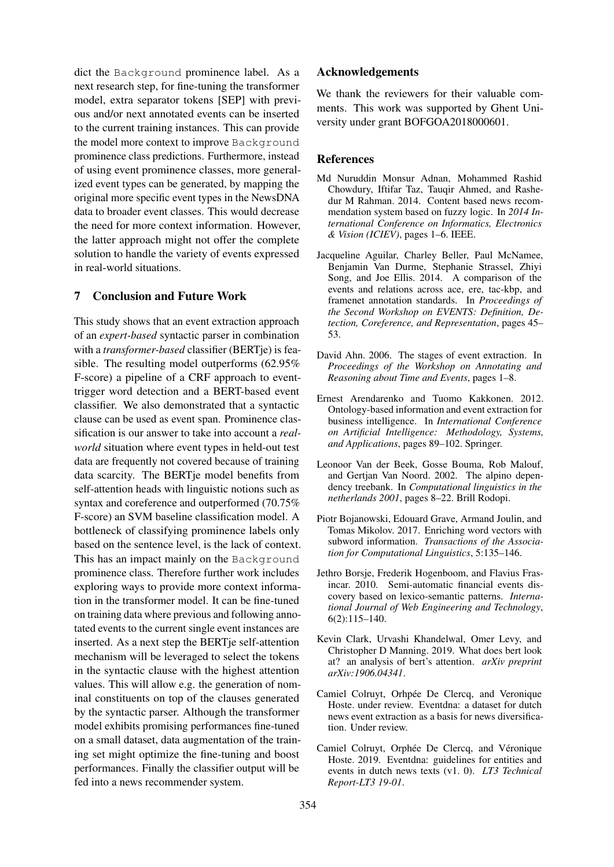dict the Background prominence label. As a next research step, for fine-tuning the transformer model, extra separator tokens [SEP] with previous and/or next annotated events can be inserted to the current training instances. This can provide the model more context to improve Background prominence class predictions. Furthermore, instead of using event prominence classes, more generalized event types can be generated, by mapping the original more specific event types in the NewsDNA data to broader event classes. This would decrease the need for more context information. However, the latter approach might not offer the complete solution to handle the variety of events expressed in real-world situations.

# 7 Conclusion and Future Work

This study shows that an event extraction approach of an *expert-based* syntactic parser in combination with a *transformer-based* classifier (BERTje) is feasible. The resulting model outperforms (62.95% F-score) a pipeline of a CRF approach to eventtrigger word detection and a BERT-based event classifier. We also demonstrated that a syntactic clause can be used as event span. Prominence classification is our answer to take into account a *realworld* situation where event types in held-out test data are frequently not covered because of training data scarcity. The BERTje model benefits from self-attention heads with linguistic notions such as syntax and coreference and outperformed (70.75% F-score) an SVM baseline classification model. A bottleneck of classifying prominence labels only based on the sentence level, is the lack of context. This has an impact mainly on the Background prominence class. Therefore further work includes exploring ways to provide more context information in the transformer model. It can be fine-tuned on training data where previous and following annotated events to the current single event instances are inserted. As a next step the BERTje self-attention mechanism will be leveraged to select the tokens in the syntactic clause with the highest attention values. This will allow e.g. the generation of nominal constituents on top of the clauses generated by the syntactic parser. Although the transformer model exhibits promising performances fine-tuned on a small dataset, data augmentation of the training set might optimize the fine-tuning and boost performances. Finally the classifier output will be fed into a news recommender system.

## Acknowledgements

We thank the reviewers for their valuable comments. This work was supported by Ghent University under grant BOFGOA2018000601.

#### **References**

- <span id="page-8-0"></span>Md Nuruddin Monsur Adnan, Mohammed Rashid Chowdury, Iftifar Taz, Tauqir Ahmed, and Rashedur M Rahman. 2014. Content based news recommendation system based on fuzzy logic. In *2014 International Conference on Informatics, Electronics & Vision (ICIEV)*, pages 1–6. IEEE.
- <span id="page-8-3"></span>Jacqueline Aguilar, Charley Beller, Paul McNamee, Benjamin Van Durme, Stephanie Strassel, Zhiyi Song, and Joe Ellis. 2014. A comparison of the events and relations across ace, ere, tac-kbp, and framenet annotation standards. In *Proceedings of the Second Workshop on EVENTS: Definition, Detection, Coreference, and Representation*, pages 45– 53.
- <span id="page-8-4"></span>David Ahn. 2006. The stages of event extraction. In *Proceedings of the Workshop on Annotating and Reasoning about Time and Events*, pages 1–8.
- <span id="page-8-1"></span>Ernest Arendarenko and Tuomo Kakkonen. 2012. Ontology-based information and event extraction for business intelligence. In *International Conference on Artificial Intelligence: Methodology, Systems, and Applications*, pages 89–102. Springer.
- <span id="page-8-6"></span>Leonoor Van der Beek, Gosse Bouma, Rob Malouf, and Gertjan Van Noord. 2002. The alpino dependency treebank. In *Computational linguistics in the netherlands 2001*, pages 8–22. Brill Rodopi.
- <span id="page-8-5"></span>Piotr Bojanowski, Edouard Grave, Armand Joulin, and Tomas Mikolov. 2017. Enriching word vectors with subword information. *Transactions of the Association for Computational Linguistics*, 5:135–146.
- <span id="page-8-2"></span>Jethro Borsje, Frederik Hogenboom, and Flavius Frasincar. 2010. Semi-automatic financial events discovery based on lexico-semantic patterns. *International Journal of Web Engineering and Technology*, 6(2):115–140.
- <span id="page-8-9"></span>Kevin Clark, Urvashi Khandelwal, Omer Levy, and Christopher D Manning. 2019. What does bert look at? an analysis of bert's attention. *arXiv preprint arXiv:1906.04341*.
- <span id="page-8-7"></span>Camiel Colruyt, Orhpée De Clercq, and Veronique Hoste. under review. Eventdna: a dataset for dutch news event extraction as a basis for news diversification. Under review.
- <span id="page-8-8"></span>Camiel Colruyt, Orphée De Clercq, and Véronique Hoste. 2019. Eventdna: guidelines for entities and events in dutch news texts (v1. 0). *LT3 Technical Report-LT3 19-01*.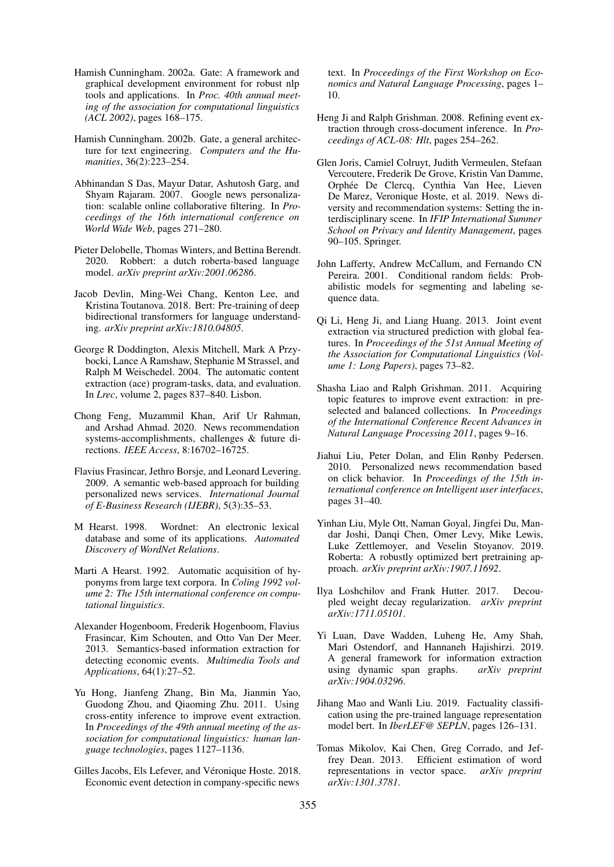- <span id="page-9-7"></span>Hamish Cunningham. 2002a. Gate: A framework and graphical development environment for robust nlp tools and applications. In *Proc. 40th annual meeting of the association for computational linguistics (ACL 2002)*, pages 168–175.
- <span id="page-9-8"></span>Hamish Cunningham. 2002b. Gate, a general architecture for text engineering. *Computers and the Humanities*, 36(2):223–254.
- <span id="page-9-0"></span>Abhinandan S Das, Mayur Datar, Ashutosh Garg, and Shyam Rajaram. 2007. Google news personalization: scalable online collaborative filtering. In *Proceedings of the 16th international conference on World Wide Web*, pages 271–280.
- <span id="page-9-22"></span>Pieter Delobelle, Thomas Winters, and Bettina Berendt. 2020. Robbert: a dutch roberta-based language model. *arXiv preprint arXiv:2001.06286*.
- <span id="page-9-17"></span>Jacob Devlin, Ming-Wei Chang, Kenton Lee, and Kristina Toutanova. 2018. Bert: Pre-training of deep bidirectional transformers for language understanding. *arXiv preprint arXiv:1810.04805*.
- <span id="page-9-19"></span>George R Doddington, Alexis Mitchell, Mark A Przybocki, Lance A Ramshaw, Stephanie M Strassel, and Ralph M Weischedel. 2004. The automatic content extraction (ace) program-tasks, data, and evaluation. In *Lrec*, volume 2, pages 837–840. Lisbon.
- <span id="page-9-1"></span>Chong Feng, Muzammil Khan, Arif Ur Rahman, and Arshad Ahmad. 2020. News recommendation systems-accomplishments, challenges & future directions. *IEEE Access*, 8:16702–16725.
- <span id="page-9-4"></span>Flavius Frasincar, Jethro Borsje, and Leonard Levering. 2009. A semantic web-based approach for building personalized news services. *International Journal of E-Business Research (IJEBR)*, 5(3):35–53.
- <span id="page-9-6"></span>M Hearst. 1998. Wordnet: An electronic lexical database and some of its applications. *Automated Discovery of WordNet Relations*.
- <span id="page-9-5"></span>Marti A Hearst. 1992. Automatic acquisition of hyponyms from large text corpora. In *Coling 1992 volume 2: The 15th international conference on computational linguistics*.
- <span id="page-9-9"></span>Alexander Hogenboom, Frederik Hogenboom, Flavius Frasincar, Kim Schouten, and Otto Van Der Meer. 2013. Semantics-based information extraction for detecting economic events. *Multimedia Tools and Applications*, 64(1):27–52.
- <span id="page-9-11"></span>Yu Hong, Jianfeng Zhang, Bin Ma, Jianmin Yao, Guodong Zhou, and Qiaoming Zhu. 2011. Using cross-entity inference to improve event extraction. In *Proceedings of the 49th annual meeting of the association for computational linguistics: human language technologies*, pages 1127–1136.
- <span id="page-9-15"></span>Gilles Jacobs, Els Lefever, and Véronique Hoste. 2018. Economic event detection in company-specific news

text. In *Proceedings of the First Workshop on Economics and Natural Language Processing*, pages 1– 10.

- <span id="page-9-10"></span>Heng Ji and Ralph Grishman. 2008. Refining event extraction through cross-document inference. In *Proceedings of ACL-08: Hlt*, pages 254–262.
- <span id="page-9-3"></span>Glen Joris, Camiel Colruyt, Judith Vermeulen, Stefaan Vercoutere, Frederik De Grove, Kristin Van Damme, Orphée De Clercq, Cynthia Van Hee, Lieven De Marez, Veronique Hoste, et al. 2019. News diversity and recommendation systems: Setting the interdisciplinary scene. In *IFIP International Summer School on Privacy and Identity Management*, pages 90–105. Springer.
- <span id="page-9-20"></span>John Lafferty, Andrew McCallum, and Fernando CN Pereira. 2001. Conditional random fields: Probabilistic models for segmenting and labeling sequence data.
- <span id="page-9-13"></span>Qi Li, Heng Ji, and Liang Huang. 2013. Joint event extraction via structured prediction with global features. In *Proceedings of the 51st Annual Meeting of the Association for Computational Linguistics (Volume 1: Long Papers)*, pages 73–82.
- <span id="page-9-12"></span>Shasha Liao and Ralph Grishman. 2011. Acquiring topic features to improve event extraction: in preselected and balanced collections. In *Proceedings of the International Conference Recent Advances in Natural Language Processing 2011*, pages 9–16.
- <span id="page-9-2"></span>Jiahui Liu, Peter Dolan, and Elin Rønby Pedersen. 2010. Personalized news recommendation based on click behavior. In *Proceedings of the 15th international conference on Intelligent user interfaces*, pages 31–40.
- <span id="page-9-21"></span>Yinhan Liu, Myle Ott, Naman Goyal, Jingfei Du, Mandar Joshi, Danqi Chen, Omer Levy, Mike Lewis, Luke Zettlemoyer, and Veselin Stoyanov. 2019. Roberta: A robustly optimized bert pretraining approach. *arXiv preprint arXiv:1907.11692*.
- <span id="page-9-23"></span>Ilya Loshchilov and Frank Hutter. 2017. Decoupled weight decay regularization. *arXiv preprint arXiv:1711.05101*.
- <span id="page-9-14"></span>Yi Luan, Dave Wadden, Luheng He, Amy Shah, Mari Ostendorf, and Hannaneh Hajishirzi. 2019. A general framework for information extraction using dynamic span graphs. *arXiv preprint arXiv:1904.03296*.
- <span id="page-9-18"></span>Jihang Mao and Wanli Liu. 2019. Factuality classification using the pre-trained language representation model bert. In *IberLEF@ SEPLN*, pages 126–131.
- <span id="page-9-16"></span>Tomas Mikolov, Kai Chen, Greg Corrado, and Jeffrey Dean. 2013. Efficient estimation of word representations in vector space. *arXiv preprint arXiv:1301.3781*.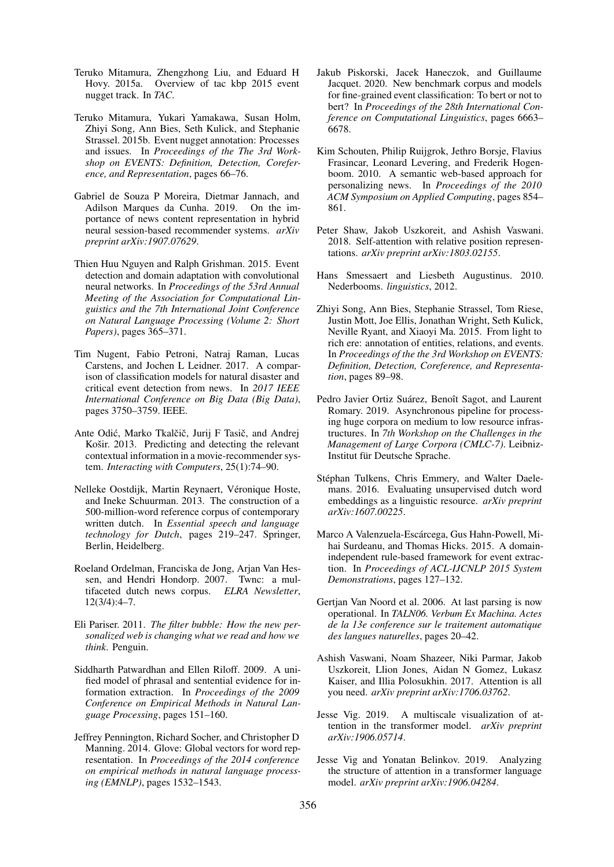- <span id="page-10-6"></span>Teruko Mitamura, Zhengzhong Liu, and Eduard H Hovy. 2015a. Overview of tac kbp 2015 event nugget track. In *TAC*.
- <span id="page-10-13"></span>Teruko Mitamura, Yukari Yamakawa, Susan Holm, Zhiyi Song, Ann Bies, Seth Kulick, and Stephanie Strassel. 2015b. Event nugget annotation: Processes and issues. In *Proceedings of the The 3rd Workshop on EVENTS: Definition, Detection, Coreference, and Representation*, pages 66–76.
- <span id="page-10-1"></span>Gabriel de Souza P Moreira, Dietmar Jannach, and Adilson Marques da Cunha. 2019. On the importance of news content representation in hybrid neural session-based recommender systems. *arXiv preprint arXiv:1907.07629*.
- <span id="page-10-10"></span>Thien Huu Nguyen and Ralph Grishman. 2015. Event detection and domain adaptation with convolutional neural networks. In *Proceedings of the 53rd Annual Meeting of the Association for Computational Linguistics and the 7th International Joint Conference on Natural Language Processing (Volume 2: Short Papers)*, pages 365–371.
- <span id="page-10-8"></span>Tim Nugent, Fabio Petroni, Natraj Raman, Lucas Carstens, and Jochen L Leidner. 2017. A comparison of classification models for natural disaster and critical event detection from news. In *2017 IEEE International Conference on Big Data (Big Data)*, pages 3750–3759. IEEE.
- <span id="page-10-0"></span>Ante Odić, Marko Tkalčič, Jurij F Tasič, and Andrej Košir. 2013. Predicting and detecting the relevant contextual information in a movie-recommender system. *Interacting with Computers*, 25(1):74–90.
- <span id="page-10-18"></span>Nelleke Oostdijk, Martin Reynaert, Véronique Hoste, and Ineke Schuurman. 2013. The construction of a 500-million-word reference corpus of contemporary written dutch. In *Essential speech and language technology for Dutch*, pages 219–247. Springer, Berlin, Heidelberg.
- <span id="page-10-16"></span>Roeland Ordelman, Franciska de Jong, Arjan Van Hessen, and Hendri Hondorp. 2007. Twnc: a multifaceted dutch news corpus. *ELRA Newsletter*, 12(3/4):4–7.
- <span id="page-10-2"></span>Eli Pariser. 2011. *The filter bubble: How the new personalized web is changing what we read and how we think*. Penguin.
- <span id="page-10-7"></span>Siddharth Patwardhan and Ellen Riloff. 2009. A unified model of phrasal and sentential evidence for information extraction. In *Proceedings of the 2009 Conference on Empirical Methods in Natural Language Processing*, pages 151–160.
- <span id="page-10-9"></span>Jeffrey Pennington, Richard Socher, and Christopher D Manning. 2014. Glove: Global vectors for word representation. In *Proceedings of the 2014 conference on empirical methods in natural language processing (EMNLP)*, pages 1532–1543.
- <span id="page-10-12"></span>Jakub Piskorski, Jacek Haneczok, and Guillaume Jacquet. 2020. New benchmark corpus and models for fine-grained event classification: To bert or not to bert? In *Proceedings of the 28th International Conference on Computational Linguistics*, pages 6663– 6678.
- <span id="page-10-3"></span>Kim Schouten, Philip Ruijgrok, Jethro Borsje, Flavius Frasincar, Leonard Levering, and Frederik Hogenboom. 2010. A semantic web-based approach for personalizing news. In *Proceedings of the 2010 ACM Symposium on Applied Computing*, pages 854– 861.
- <span id="page-10-19"></span>Peter Shaw, Jakob Uszkoreit, and Ashish Vaswani. 2018. Self-attention with relative position representations. *arXiv preprint arXiv:1803.02155*.
- <span id="page-10-15"></span>Hans Smessaert and Liesbeth Augustinus. 2010. Nederbooms. *linguistics*, 2012.
- <span id="page-10-5"></span>Zhiyi Song, Ann Bies, Stephanie Strassel, Tom Riese, Justin Mott, Joe Ellis, Jonathan Wright, Seth Kulick, Neville Ryant, and Xiaoyi Ma. 2015. From light to rich ere: annotation of entities, relations, and events. In *Proceedings of the the 3rd Workshop on EVENTS: Definition, Detection, Coreference, and Representation*, pages 89–98.
- <span id="page-10-20"></span>Pedro Javier Ortiz Suárez, Benoît Sagot, and Laurent Romary. 2019. Asynchronous pipeline for processing huge corpora on medium to low resource infrastructures. In *7th Workshop on the Challenges in the Management of Large Corpora (CMLC-7)*. Leibniz-Institut für Deutsche Sprache.
- <span id="page-10-17"></span>Stéphan Tulkens, Chris Emmery, and Walter Daelemans. 2016. Evaluating unsupervised dutch word embeddings as a linguistic resource. *arXiv preprint arXiv:1607.00225*.
- <span id="page-10-4"></span>Marco A Valenzuela-Escárcega, Gus Hahn-Powell, Mihai Surdeanu, and Thomas Hicks. 2015. A domainindependent rule-based framework for event extraction. In *Proceedings of ACL-IJCNLP 2015 System Demonstrations*, pages 127–132.
- <span id="page-10-14"></span>Gertjan Van Noord et al. 2006. At last parsing is now operational. In *TALN06. Verbum Ex Machina. Actes de la 13e conference sur le traitement automatique des langues naturelles*, pages 20–42.
- <span id="page-10-11"></span>Ashish Vaswani, Noam Shazeer, Niki Parmar, Jakob Uszkoreit, Llion Jones, Aidan N Gomez, Lukasz Kaiser, and Illia Polosukhin. 2017. Attention is all you need. *arXiv preprint arXiv:1706.03762*.
- <span id="page-10-21"></span>Jesse Vig. 2019. A multiscale visualization of attention in the transformer model. *arXiv preprint arXiv:1906.05714*.
- <span id="page-10-22"></span>Jesse Vig and Yonatan Belinkov. 2019. Analyzing the structure of attention in a transformer language model. *arXiv preprint arXiv:1906.04284*.